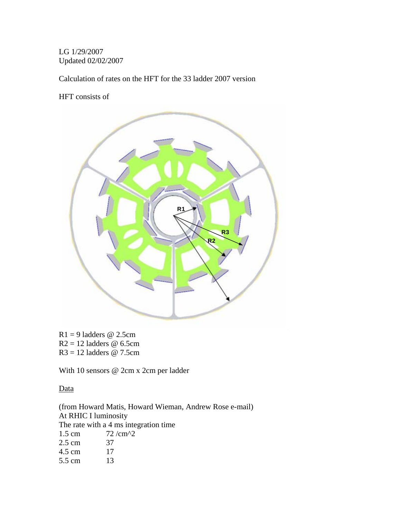## LG 1/29/2007 Updated 02/02/2007

Calculation of rates on the HFT for the 33 ladder 2007 version

HFT consists of



 $R1 = 9$  ladders @ 2.5cm  $R2 = 12$  ladders @ 6.5cm  $R3 = 12$  ladders @ 7.5cm

With 10 sensors @ 2cm x 2cm per ladder

Data

(from Howard Matis, Howard Wieman, Andrew Rose e-mail) At RHIC I luminosity The rate with a 4 ms integration time 1.5 cm 72 /cm^2 2.5 cm 37 4.5 cm 17 5.5 cm 13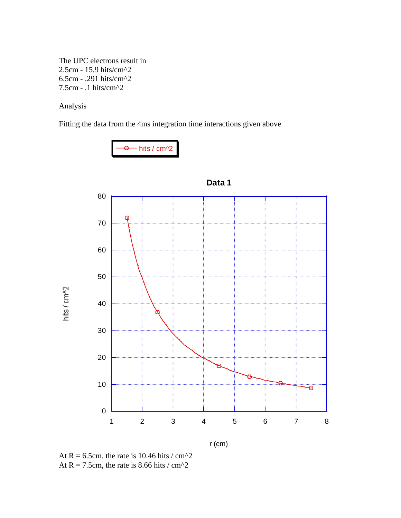The UPC electrons result in 2.5cm - 15.9 hits/cm^2 6.5cm - .291 hits/cm^2 7.5cm - .1 hits/cm^2

Analysis

Fitting the data from the 4ms integration time interactions given above